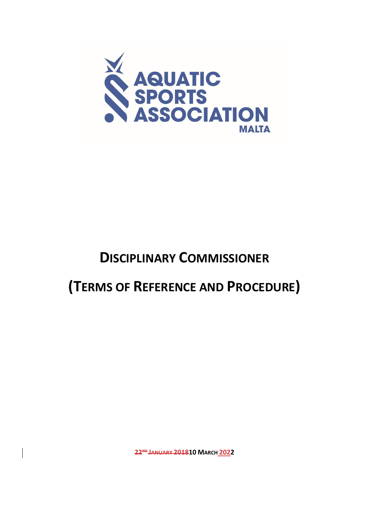

## **DISCIPLINARY COMMISSIONER**

# **(TERMS OF REFERENCE AND PROCEDURE)**

**22ND JANUARY 201810 MARCH 2022**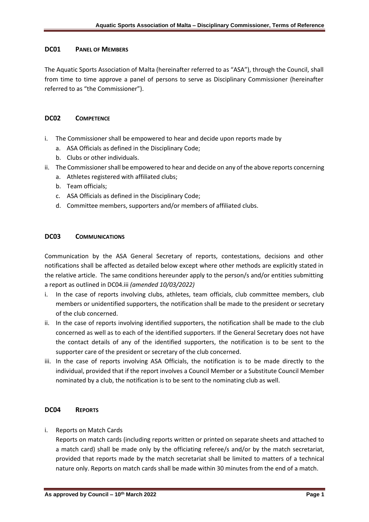#### **DC01 PANEL OF MEMBERS**

The Aquatic Sports Association of Malta (hereinafter referred to as "ASA"), through the Council, shall from time to time approve a panel of persons to serve as Disciplinary Commissioner (hereinafter referred to as "the Commissioner").

#### **DC02 COMPETENCE**

- i. The Commissioner shall be empowered to hear and decide upon reports made by
	- a. ASA Officials as defined in the Disciplinary Code;
	- b. Clubs or other individuals.
- ii. The Commissioner shall be empowered to hear and decide on any of the above reports concerning
	- a. Athletes registered with affiliated clubs;
	- b. Team officials;
	- c. ASA Officials as defined in the Disciplinary Code;
	- d. Committee members, supporters and/or members of affiliated clubs.

#### **DC03 COMMUNICATIONS**

Communication by the ASA General Secretary of reports, contestations, decisions and other notifications shall be affected as detailed below except where other methods are explicitly stated in the relative article. The same conditions hereunder apply to the person/s and/or entities submitting a report as outlined in DC04.iii *(amended 10/03/2022)*

- i. In the case of reports involving clubs, athletes, team officials, club committee members, club members or unidentified supporters, the notification shall be made to the president or secretary of the club concerned.
- ii. In the case of reports involving identified supporters, the notification shall be made to the club concerned as well as to each of the identified supporters. If the General Secretary does not have the contact details of any of the identified supporters, the notification is to be sent to the supporter care of the president or secretary of the club concerned.
- iii. In the case of reports involving ASA Officials, the notification is to be made directly to the individual, provided that if the report involves a Council Member or a Substitute Council Member nominated by a club, the notification is to be sent to the nominating club as well.

#### **DC04 REPORTS**

i. Reports on Match Cards

Reports on match cards (including reports written or printed on separate sheets and attached to a match card) shall be made only by the officiating referee/s and/or by the match secretariat, provided that reports made by the match secretariat shall be limited to matters of a technical nature only. Reports on match cards shall be made within 30 minutes from the end of a match.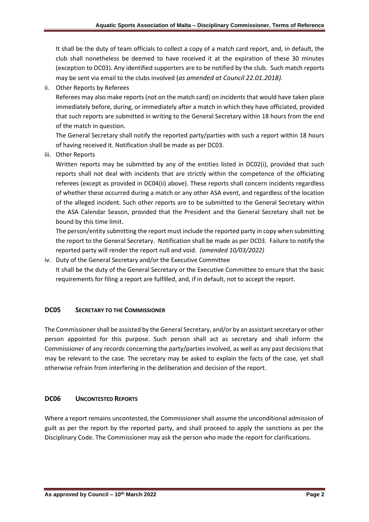It shall be the duty of team officials to collect a copy of a match card report, and, in default, the club shall nonetheless be deemed to have received it at the expiration of these 30 minutes (exception to DC03). Any identified supporters are to be notified by the club. Such match reports may be sent via email to the clubs involved (*as amended at Council 22.01.2018).*

ii. Other Reports by Referees

Referees may also make reports (not on the match card) on incidents that would have taken place immediately before, during, or immediately after a match in which they have officiated, provided that such reports are submitted in writing to the General Secretary within 18 hours from the end of the match in question.

The General Secretary shall notify the reported party/parties with such a report within 18 hours of having received it. Notification shall be made as per DC03.

iii. Other Reports

Written reports may be submitted by any of the entities listed in DC02(i), provided that such reports shall not deal with incidents that are strictly within the competence of the officiating referees (except as provided in DC04(ii) above). These reports shall concern incidents regardless of whether these occurred during a match or any other ASA event, and regardless of the location of the alleged incident. Such other reports are to be submitted to the General Secretary within the ASA Calendar Season, provided that the President and the General Secretary shall not be bound by this time limit.

The person/entity submitting the report must include the reported party in copy when submitting the report to the General Secretary. Notification shall be made as per DC03. Failure to notify the reported party will render the report null and void. *(amended 10/03/2022)*

iv. Duty of the General Secretary and/or the Executive Committee

It shall be the duty of the General Secretary or the Executive Committee to ensure that the basic requirements for filing a report are fulfilled, and, if in default, not to accept the report.

## **DC05 SECRETARY TO THE COMMISSIONER**

The Commissioner shall be assisted by the General Secretary, and/or by an assistant secretary or other person appointed for this purpose. Such person shall act as secretary and shall inform the Commissioner of any records concerning the party/parties involved, as well as any past decisions that may be relevant to the case. The secretary may be asked to explain the facts of the case, yet shall otherwise refrain from interfering in the deliberation and decision of the report.

## **DC06 UNCONTESTED REPORTS**

Where a report remains uncontested, the Commissioner shall assume the unconditional admission of guilt as per the report by the reported party, and shall proceed to apply the sanctions as per the Disciplinary Code. The Commissioner may ask the person who made the report for clarifications.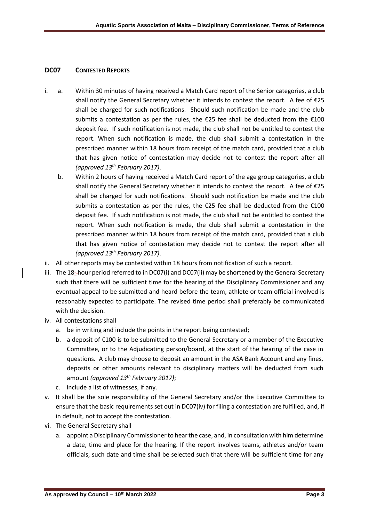#### **DC07 CONTESTED REPORTS**

- i. a. Within 30 minutes of having received a Match Card report of the Senior categories, a club shall notify the General Secretary whether it intends to contest the report. A fee of €25 shall be charged for such notifications. Should such notification be made and the club submits a contestation as per the rules, the  $\epsilon$ 25 fee shall be deducted from the  $\epsilon$ 100 deposit fee. If such notification is not made, the club shall not be entitled to contest the report. When such notification is made, the club shall submit a contestation in the prescribed manner within 18 hours from receipt of the match card, provided that a club that has given notice of contestation may decide not to contest the report after all *(approved 13th February 2017)*.
	- b. Within 2 hours of having received a Match Card report of the age group categories, a club shall notify the General Secretary whether it intends to contest the report. A fee of €25 shall be charged for such notifications. Should such notification be made and the club submits a contestation as per the rules, the  $E25$  fee shall be deducted from the  $E100$ deposit fee. If such notification is not made, the club shall not be entitled to contest the report. When such notification is made, the club shall submit a contestation in the prescribed manner within 18 hours from receipt of the match card, provided that a club that has given notice of contestation may decide not to contest the report after all *(approved 13th February 2017)*.
- ii. All other reports may be contested within 18 hours from notification of such a report.
- iii. The 18- hour period referred to in DC07(i) and DC07(ii) may be shortened by the General Secretary such that there will be sufficient time for the hearing of the Disciplinary Commissioner and any eventual appeal to be submitted and heard before the team, athlete or team official involved is reasonably expected to participate. The revised time period shall preferably be communicated with the decision.
- iv. All contestations shall
	- a. be in writing and include the points in the report being contested;
	- b. a deposit of €100 is to be submitted to the General Secretary or a member of the Executive Committee, or to the Adjudicating person/board, at the start of the hearing of the case in questions. A club may choose to deposit an amount in the ASA Bank Account and any fines, deposits or other amounts relevant to disciplinary matters will be deducted from such amount *(approved 13th February 2017)*;
	- c. include a list of witnesses, if any.
- v. It shall be the sole responsibility of the General Secretary and/or the Executive Committee to ensure that the basic requirements set out in DC07(iv) for filing a contestation are fulfilled, and, if in default, not to accept the contestation.
- vi. The General Secretary shall
	- a. appoint a Disciplinary Commissioner to hear the case, and, in consultation with him determine a date, time and place for the hearing. If the report involves teams, athletes and/or team officials, such date and time shall be selected such that there will be sufficient time for any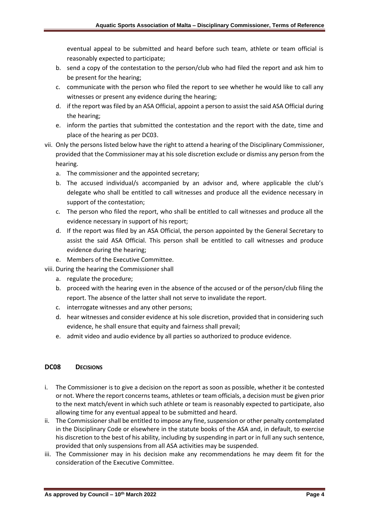eventual appeal to be submitted and heard before such team, athlete or team official is reasonably expected to participate;

- b. send a copy of the contestation to the person/club who had filed the report and ask him to be present for the hearing;
- c. communicate with the person who filed the report to see whether he would like to call any witnesses or present any evidence during the hearing;
- d. if the report was filed by an ASA Official, appoint a person to assist the said ASA Official during the hearing;
- e. inform the parties that submitted the contestation and the report with the date, time and place of the hearing as per DC03.
- vii. Only the persons listed below have the right to attend a hearing of the Disciplinary Commissioner, provided that the Commissioner may at his sole discretion exclude or dismiss any person from the hearing.
	- a. The commissioner and the appointed secretary;
	- b. The accused individual/s accompanied by an advisor and, where applicable the club's delegate who shall be entitled to call witnesses and produce all the evidence necessary in support of the contestation;
	- c. The person who filed the report, who shall be entitled to call witnesses and produce all the evidence necessary in support of his report;
	- d. If the report was filed by an ASA Official, the person appointed by the General Secretary to assist the said ASA Official. This person shall be entitled to call witnesses and produce evidence during the hearing;
	- e. Members of the Executive Committee.

viii. During the hearing the Commissioner shall

- a. regulate the procedure;
- b. proceed with the hearing even in the absence of the accused or of the person/club filing the report. The absence of the latter shall not serve to invalidate the report.
- c. interrogate witnesses and any other persons;
- d. hear witnesses and consider evidence at his sole discretion, provided that in considering such evidence, he shall ensure that equity and fairness shall prevail;
- e. admit video and audio evidence by all parties so authorized to produce evidence.

#### **DC08 DECISIONS**

- i. The Commissioner is to give a decision on the report as soon as possible, whether it be contested or not. Where the report concerns teams, athletes or team officials, a decision must be given prior to the next match/event in which such athlete or team is reasonably expected to participate, also allowing time for any eventual appeal to be submitted and heard.
- ii. The Commissioner shall be entitled to impose any fine, suspension or other penalty contemplated in the Disciplinary Code or elsewhere in the statute books of the ASA and, in default, to exercise his discretion to the best of his ability, including by suspending in part or in full any such sentence, provided that only suspensions from all ASA activities may be suspended.
- iii. The Commissioner may in his decision make any recommendations he may deem fit for the consideration of the Executive Committee.